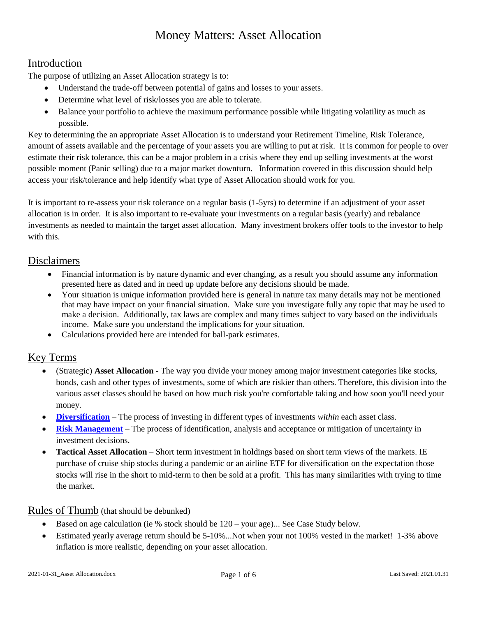## Introduction

The purpose of utilizing an Asset Allocation strategy is to:

- Understand the trade-off between potential of gains and losses to your assets.
- Determine what level of risk/losses you are able to tolerate.
- Balance your portfolio to achieve the maximum performance possible while litigating volatility as much as possible.

Key to determining the an appropriate Asset Allocation is to understand your Retirement Timeline, Risk Tolerance, amount of assets available and the percentage of your assets you are willing to put at risk. It is common for people to over estimate their risk tolerance, this can be a major problem in a crisis where they end up selling investments at the worst possible moment (Panic selling) due to a major market downturn. Information covered in this discussion should help access your risk/tolerance and help identify what type of Asset Allocation should work for you.

It is important to re-assess your risk tolerance on a regular basis (1-5yrs) to determine if an adjustment of your asset allocation is in order. It is also important to re-evaluate your investments on a regular basis (yearly) and rebalance investments as needed to maintain the target asset allocation. Many investment brokers offer tools to the investor to help with this.

### Disclaimers

- Financial information is by nature dynamic and ever changing, as a result you should assume any information presented here as dated and in need up update before any decisions should be made.
- Your situation is unique information provided here is general in nature tax many details may not be mentioned that may have impact on your financial situation. Make sure you investigate fully any topic that may be used to make a decision. Additionally, tax laws are complex and many times subject to vary based on the individuals income. Make sure you understand the implications for your situation.
- Calculations provided here are intended for ball-park estimates.

### Key Terms

- (Strategic) **Asset Allocation** The way you divide your money among major investment categories like stocks, bonds, cash and other types of investments, some of which are riskier than others. Therefore, this division into the various asset classes should be based on how much risk you're comfortable taking and how soon you'll need your money.
- **[Diversification](https://www.investopedia.com/terms/d/diversification.asp)** The process of investing in different types of investments *within* each asset class.
- **[Risk Management](https://www.investopedia.com/terms/r/riskmanagement.asp)** The process of identification, analysis and acceptance or mitigation of uncertainty in investment decisions.
- **Tactical Asset Allocation** Short term investment in holdings based on short term views of the markets. IE purchase of cruise ship stocks during a pandemic or an airline ETF for diversification on the expectation those stocks will rise in the short to mid-term to then be sold at a profit. This has many similarities with trying to time the market.

### Rules of Thumb (that should be debunked)

- Based on age calculation (ie % stock should be  $120 -$  your age)... See Case Study below.
- Estimated yearly average return should be 5-10%...Not when your not 100% vested in the market! 1-3% above inflation is more realistic, depending on your asset allocation.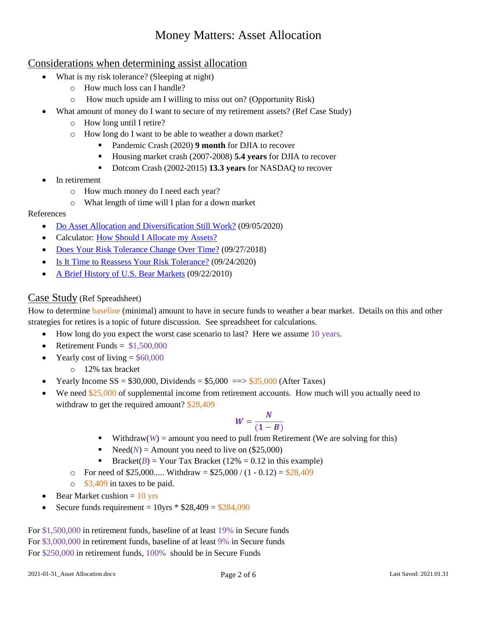## Considerations when determining assist allocation

- What is my risk tolerance? (Sleeping at night)
	- o How much loss can I handle?
	- o How much upside am I willing to miss out on? (Opportunity Risk)
- What amount of money do I want to secure of my retirement assets? (Ref Case Study)
	- o How long until I retire?
	- o How long do I want to be able to weather a down market?
		- Pandemic Crash (2020) **9 month** for DJIA to recover
		- Housing market crash (2007-2008) **5.4 years** for DJIA to recover
		- Dotcom Crash (2002-2015) **13.3 years** for NASDAQ to recover
- In retirement
	- o How much money do I need each year?
	- o What length of time will I plan for a down market

### References

- [Do Asset Allocation and Diversification Still Work?](https://www.schwab.com/resource-center/insights/content/do-asset-allocation-and-diversification-still-work) (09/05/2020)
- Calculator: [How Should I Allocate my Assets?](https://www.calcxml.com/do/inv01?skn=#results)
- [Does Your Risk Tolerance Change Over Time?](https://www.schwab.com/resource-center/insights/content/does-your-risk-tolerance-change-over-time) (09/27/2018)
- [Is It Time to Reassess Your Risk Tolerance?](https://www.schwab.com/resource-center/insights/content/is-it-time-to-reassess-your-risk-tolerance) (09/24/2020)
- [A Brief History of U.S. Bear Markets](https://www.investopedia.com/a-history-of-bear-markets-4582652) (09/22/2010)

### Case Study (Ref Spreadsheet)

How to determine baseline (minimal) amount to have in secure funds to weather a bear market. Details on this and other strategies for retires is a topic of future discussion. See spreadsheet for calculations.

- How long do you expect the worst case scenario to last? Here we assume 10 years.
- Retirement Funds  $=$  \$1,500,000
- Yearly cost of living  $= $60,000$ 
	- o 12% tax bracket
- Yearly Income SS =  $$30,000$ , Dividends =  $$5,000$  =  $>$35,000$  (After Taxes)
- We need \$25,000 of supplemental income from retirement accounts. How much will you actually need to withdraw to get the required amount? \$28,409

$$
W=\frac{N}{(1-B)}
$$

- **Withdraw** $(W)$  = amount you need to pull from Retirement (We are solving for this)
- Need( $N$ ) = Amount you need to live on (\$25,000)
- Bracket(*B*) = Your Tax Bracket (12% = 0.12 in this example)
- o For need of \$25,000..... Withdraw =  $$25,000 / (1 0.12) = $28,409$
- o \$3,409 in taxes to be paid.
- $\bullet$  Bear Market cushion = 10 yrs
- Secure funds requirement =  $10yrs * $28,409 = $284,090$

For \$1,500,000 in retirement funds, baseline of at least 19% in Secure funds For \$3,000,000 in retirement funds, baseline of at least 9% in Secure funds For \$250,000 in retirement funds, 100% should be in Secure Funds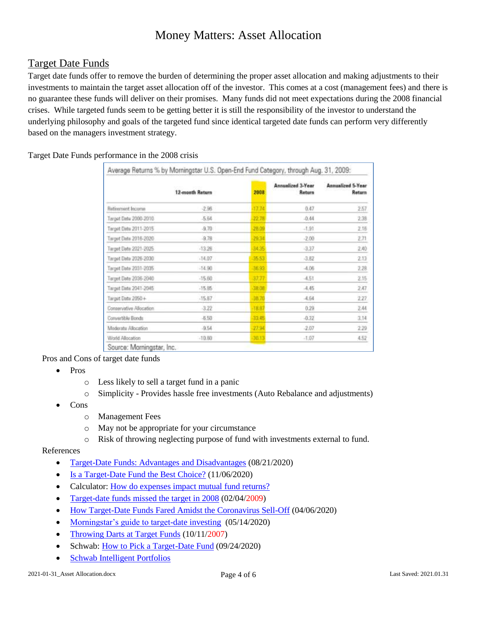### Target Date Funds

Target date funds offer to remove the burden of determining the proper asset allocation and making adjustments to their investments to maintain the target asset allocation off of the investor. This comes at a cost (management fees) and there is no guarantee these funds will deliver on their promises. Many funds did not meet expectations during the 2008 financial crises. While targeted funds seem to be getting better it is still the responsibility of the investor to understand the underlying philosophy and goals of the targeted fund since identical targeted date funds can perform very differently based on the managers investment strategy.

Target Date Funds performance in the 2008 crisis

|                         | 12-month Return | 2008     | <b>Annualized 3-Year</b><br>Return | <b>Annualized 5-Year</b><br>Return |
|-------------------------|-----------------|----------|------------------------------------|------------------------------------|
| Retirement Income       | $-2.96$         | 17.74    | 0.47                               | 257                                |
| Target Datu 2000-2010   | $-5.64$         | 22.78    | $-0.44$                            | 2.38                               |
| Target Date 2011-2015   | $-9.70$         | 28.09    | $-1.91$                            | 2.16                               |
| Target Date 2016-2020   | $-9.78$         | 29.34    | $-2.00$                            | 2.71                               |
| Target Date 2021-2025   | $-13.26$        | 34.35    | $-3.37$                            | 2.40                               |
| Target Date 2026-2030   | $-14.07$        | 35.53    | $-3.82$                            | 2.13                               |
| Target Date 2031-2035   | $-14.90$        | 36.93    | $-4,06$                            | 2.28                               |
| Target Date 2036-2040   | $-15.60$        | 37.77    | $-4.51$                            | 2.15                               |
| Target Date 2041-2045   | $-15.85$        | 38.08    | $-4.45$                            | 2.47                               |
| Target Date 2050+       | $-15.87$        | -38.70   | $-4.64$                            | 2.27                               |
| Conservative Allocation | $-3.22$         | $-18.87$ | 0.29                               | 2.44                               |
| Convertible Bonds       | $-5.50$         | 33.45    | $-0.32$                            | 3,14                               |
| Moderate Allocation     | $-9.54$         | 27:94    | $-2.07$                            | 2.29                               |
| World Allocation        | $-10.80$        | 38.13    | $-1.07$                            | 4.52                               |

### Pros and Cons of target date funds

- Pros
	- o Less likely to sell a target fund in a panic
	- o Simplicity Provides hassle free investments (Auto Rebalance and adjustments)
- Cons
	- o Management Fees
	- o May not be appropriate for your circumstance
	- o Risk of throwing neglecting purpose of fund with investments external to fund.

#### References

- [Target-Date Funds: Advantages and Disadvantages](https://www.investopedia.com/articles/retirement/07/life_cycle.asp) (08/21/2020)
- [Is a Target-Date Fund the Best Choice?](https://www.investopedia.com/retirement/targetdate-fund-best-choice/) (11/06/2020)
- Calculator: [How do expenses impact mutual fund returns?](https://www.calcxml.com/do/inv12?skn=#results)
- [Target-date funds missed the target in 2008](https://www.marketwatch.com/story/questions-arise-target-date-funds-after) (02/04/2009)
- [How Target-Date Funds Fared Amidst the Coronavirus Sell-Off](https://www.morningstar.com/articles/975425/how-target-date-funds-fared-amidst-the-coronavirus-sell-off) (04/06/2020)
- [Morningstar's guide to target-date investing](https://www.morningstar.com/articles/984572/morningstars-guide-to-target-date-investing) (05/14/2020)
- [Throwing Darts at Target Funds](https://www.kiplinger.com/article/investing/t041-c000-s002-throwing-darts-at-target-funds.html) (10/11/2007)
- Schwab: How [to Pick a Target-Date Fund](https://www.schwab.com/resource-center/insights/content/how-to-pick-target-date-fund) (09/24/2020)
- [Schwab Intelligent Portfolios](https://www.schwab.com/intelligent-portfolios)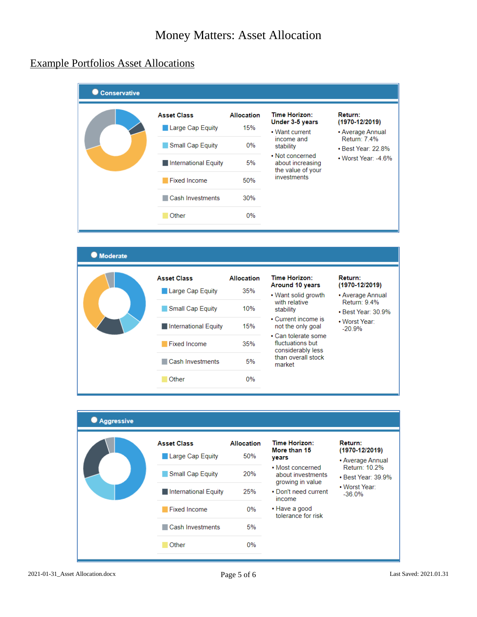## Example Portfolios Asset Allocations

| <b>Conservative</b> |                                                                                                                                                      |                                                          |                                                                                                                                                                 |                                                                                                                           |
|---------------------|------------------------------------------------------------------------------------------------------------------------------------------------------|----------------------------------------------------------|-----------------------------------------------------------------------------------------------------------------------------------------------------------------|---------------------------------------------------------------------------------------------------------------------------|
|                     | <b>Asset Class</b><br>Large Cap Equity<br><b>Small Cap Equity</b><br>International Equity<br><b>Fixed Income</b><br><b>Cash Investments</b><br>Other | <b>Allocation</b><br>15%<br>0%<br>5%<br>50%<br>30%<br>0% | <b>Time Horizon:</b><br>Under 3-5 years<br>• Want current<br>income and<br>stability<br>• Not concerned<br>about increasing<br>the value of your<br>investments | Return:<br>$(1970 - 12/2019)$<br>• Average Annual<br>Return: 74%<br>$\cdot$ Best Year: 22.8%<br>$\cdot$ Worst Year: -4.6% |

**Moderate** 

| <b>Asset Class</b><br>Large Cap Equity | <b>Allocation</b><br>35% | Time Horizon:<br>Return:<br><b>Around 10 years</b><br>$(1970 - 12/2019)$<br>• Want solid growth<br>Return: 9.4%<br>with relative<br>10%<br>stability<br>$\cdot$ Current income is<br>• Worst Year:<br>15%<br>not the only goal<br>$-20.9%$<br>• Can tolerate some<br>fluctuations but<br>35%<br>considerably less<br>than overall stock<br>5%<br>market<br>$0\%$ | • Average Annual         |
|----------------------------------------|--------------------------|------------------------------------------------------------------------------------------------------------------------------------------------------------------------------------------------------------------------------------------------------------------------------------------------------------------------------------------------------------------|--------------------------|
| <b>Small Cap Equity</b>                |                          |                                                                                                                                                                                                                                                                                                                                                                  | $\cdot$ Best Year: 30.9% |
| International Equity                   |                          |                                                                                                                                                                                                                                                                                                                                                                  |                          |
| <b>Fixed Income</b>                    |                          |                                                                                                                                                                                                                                                                                                                                                                  |                          |
| Cash Investments                       |                          |                                                                                                                                                                                                                                                                                                                                                                  |                          |
| Other                                  |                          |                                                                                                                                                                                                                                                                                                                                                                  |                          |
|                                        |                          |                                                                                                                                                                                                                                                                                                                                                                  |                          |